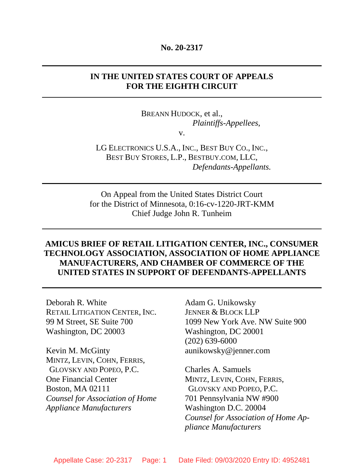#### **No. 20-2317**

# **IN THE UNITED STATES COURT OF APPEALS FOR THE EIGHTH CIRCUIT**

BREANN HUDOCK, et al., *Plaintiffs-Appellees*,

v.

LG ELECTRONICS U.S.A., INC., BEST BUY CO., INC., BEST BUY STORES, L.P., BESTBUY.COM, LLC, *Defendants-Appellants.*

On Appeal from the United States District Court for the District of Minnesota, 0:16-cv-1220-JRT-KMM Chief Judge John R. Tunheim

# **AMICUS BRIEF OF RETAIL LITIGATION CENTER, INC., CONSUMER TECHNOLOGY ASSOCIATION, ASSOCIATION OF HOME APPLIANCE MANUFACTURERS, AND CHAMBER OF COMMERCE OF THE UNITED STATES IN SUPPORT OF DEFENDANTS-APPELLANTS**

Deborah R. White RETAIL LITIGATION CENTER, INC. 99 M Street, SE Suite 700 Washington, DC 20003

Kevin M. McGinty MINTZ, LEVIN, COHN, FERRIS, GLOVSKY AND POPEO, P.C. One Financial Center Boston, MA 02111 *Counsel for Association of Home Appliance Manufacturers* 

Adam G. Unikowsky JENNER & BLOCK LLP 1099 New York Ave. NW Suite 900 Washington, DC 20001 (202) 639-6000 aunikowsky@jenner.com

Charles A. Samuels MINTZ, LEVIN, COHN, FERRIS, GLOVSKY AND POPEO, P.C. 701 Pennsylvania NW #900 Washington D.C. 20004 *Counsel for Association of Home Appliance Manufacturers*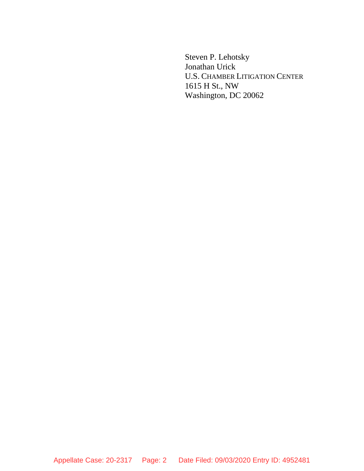Steven P. Lehotsky Jonathan Urick U.S. CHAMBER LITIGATION CENTER 1615 H St., NW Washington, DC 20062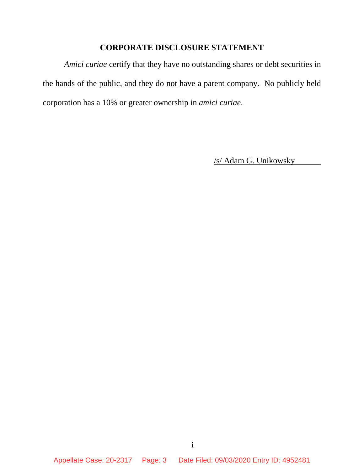# **CORPORATE DISCLOSURE STATEMENT**

*Amici curiae* certify that they have no outstanding shares or debt securities in the hands of the public, and they do not have a parent company. No publicly held corporation has a 10% or greater ownership in *amici curiae*.

/s/ Adam G. Unikowsky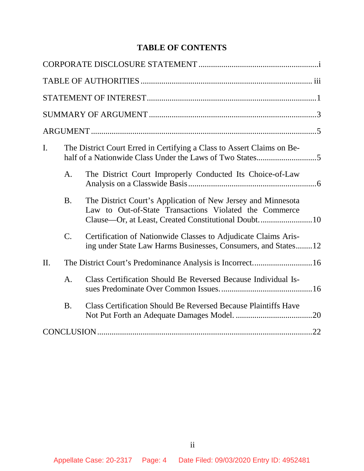# **TABLE OF CONTENTS**

| I.  |                 | The District Court Erred in Certifying a Class to Assert Claims on Be-                                                                                                        |  |
|-----|-----------------|-------------------------------------------------------------------------------------------------------------------------------------------------------------------------------|--|
|     | A.              | The District Court Improperly Conducted Its Choice-of-Law                                                                                                                     |  |
|     | <b>B.</b>       | The District Court's Application of New Jersey and Minnesota<br>Law to Out-of-State Transactions Violated the Commerce<br>Clause—Or, at Least, Created Constitutional Doubt10 |  |
|     | $\mathcal{C}$ . | Certification of Nationwide Classes to Adjudicate Claims Aris-<br>ing under State Law Harms Businesses, Consumers, and States12                                               |  |
| II. |                 |                                                                                                                                                                               |  |
|     | A.              | Class Certification Should Be Reversed Because Individual Is-                                                                                                                 |  |
|     | <b>B.</b>       | <b>Class Certification Should Be Reversed Because Plaintiffs Have</b>                                                                                                         |  |
|     |                 |                                                                                                                                                                               |  |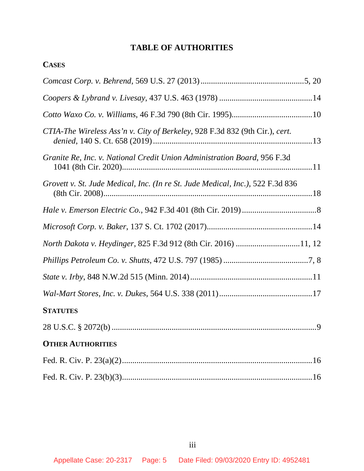# **TABLE OF AUTHORITIES**

**CASES**

| CTIA-The Wireless Ass'n v. City of Berkeley, 928 F.3d 832 (9th Cir.), cert.    |
|--------------------------------------------------------------------------------|
| Granite Re, Inc. v. National Credit Union Administration Board, 956 F.3d       |
| Grovett v. St. Jude Medical, Inc. (In re St. Jude Medical, Inc.), 522 F.3d 836 |
|                                                                                |
|                                                                                |
| North Dakota v. Heydinger, 825 F.3d 912 (8th Cir. 2016) 11, 12                 |
|                                                                                |
|                                                                                |
|                                                                                |
| <b>STATUTES</b>                                                                |
|                                                                                |
| <b>OTHER AUTHORITIES</b>                                                       |
|                                                                                |
|                                                                                |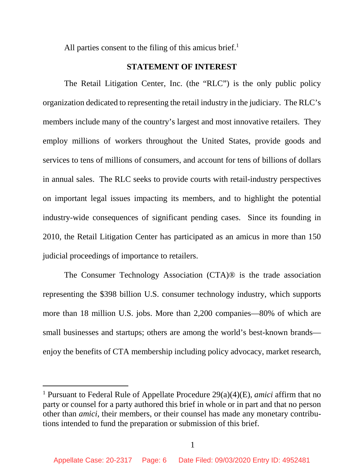All parties consent to the filing of this amicus brief. $<sup>1</sup>$ </sup>

### **STATEMENT OF INTEREST**

The Retail Litigation Center, Inc. (the "RLC") is the only public policy organization dedicated to representing the retail industry in the judiciary. The RLC's members include many of the country's largest and most innovative retailers. They employ millions of workers throughout the United States, provide goods and services to tens of millions of consumers, and account for tens of billions of dollars in annual sales. The RLC seeks to provide courts with retail-industry perspectives on important legal issues impacting its members, and to highlight the potential industry-wide consequences of significant pending cases. Since its founding in 2010, the Retail Litigation Center has participated as an amicus in more than 150 judicial proceedings of importance to retailers.

The Consumer Technology Association (CTA)® is the trade association representing the \$398 billion U.S. consumer technology industry, which supports more than 18 million U.S. jobs. More than 2,200 companies—80% of which are small businesses and startups; others are among the world's best-known brands enjoy the benefits of CTA membership including policy advocacy, market research,

<sup>1</sup> Pursuant to Federal Rule of Appellate Procedure 29(a)(4)(E), *amici* affirm that no party or counsel for a party authored this brief in whole or in part and that no person other than *amici*, their members, or their counsel has made any monetary contributions intended to fund the preparation or submission of this brief.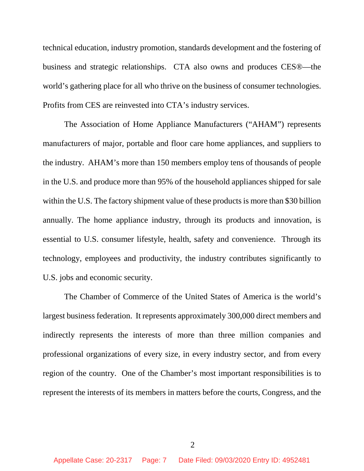technical education, industry promotion, standards development and the fostering of business and strategic relationships. CTA also owns and produces CES®—the world's gathering place for all who thrive on the business of consumer technologies. Profits from CES are reinvested into CTA's industry services.

The Association of Home Appliance Manufacturers ("AHAM") represents manufacturers of major, portable and floor care home appliances, and suppliers to the industry. AHAM's more than 150 members employ tens of thousands of people in the U.S. and produce more than 95% of the household appliances shipped for sale within the U.S. The factory shipment value of these products is more than \$30 billion annually. The home appliance industry, through its products and innovation, is essential to U.S. consumer lifestyle, health, safety and convenience. Through its technology, employees and productivity, the industry contributes significantly to U.S. jobs and economic security.

The Chamber of Commerce of the United States of America is the world's largest business federation. It represents approximately 300,000 direct members and indirectly represents the interests of more than three million companies and professional organizations of every size, in every industry sector, and from every region of the country. One of the Chamber's most important responsibilities is to represent the interests of its members in matters before the courts, Congress, and the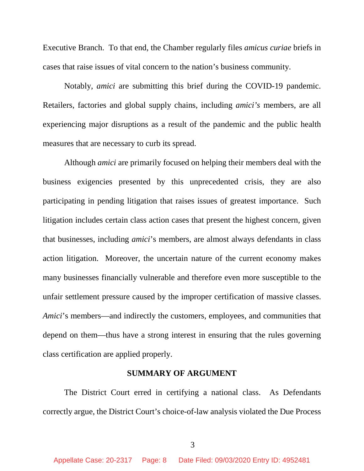Executive Branch. To that end, the Chamber regularly files *amicus curiae* briefs in cases that raise issues of vital concern to the nation's business community.

Notably, *amici* are submitting this brief during the COVID-19 pandemic. Retailers, factories and global supply chains, including *amici's* members, are all experiencing major disruptions as a result of the pandemic and the public health measures that are necessary to curb its spread.

Although *amici* are primarily focused on helping their members deal with the business exigencies presented by this unprecedented crisis, they are also participating in pending litigation that raises issues of greatest importance. Such litigation includes certain class action cases that present the highest concern, given that businesses, including *amici*'s members, are almost always defendants in class action litigation. Moreover, the uncertain nature of the current economy makes many businesses financially vulnerable and therefore even more susceptible to the unfair settlement pressure caused by the improper certification of massive classes. *Amici*'s members—and indirectly the customers, employees, and communities that depend on them—thus have a strong interest in ensuring that the rules governing class certification are applied properly.

### **SUMMARY OF ARGUMENT**

The District Court erred in certifying a national class. As Defendants correctly argue, the District Court's choice-of-law analysis violated the Due Process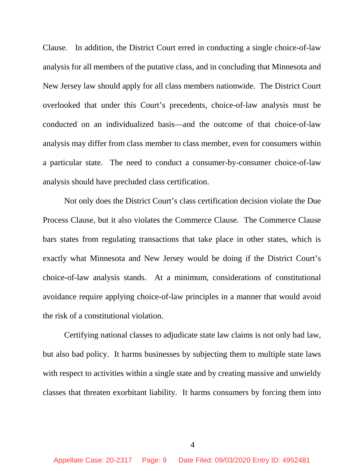Clause. In addition, the District Court erred in conducting a single choice-of-law analysis for all members of the putative class, and in concluding that Minnesota and New Jersey law should apply for all class members nationwide. The District Court overlooked that under this Court's precedents, choice-of-law analysis must be conducted on an individualized basis—and the outcome of that choice-of-law analysis may differ from class member to class member, even for consumers within a particular state. The need to conduct a consumer-by-consumer choice-of-law analysis should have precluded class certification.

Not only does the District Court's class certification decision violate the Due Process Clause, but it also violates the Commerce Clause. The Commerce Clause bars states from regulating transactions that take place in other states, which is exactly what Minnesota and New Jersey would be doing if the District Court's choice-of-law analysis stands. At a minimum, considerations of constitutional avoidance require applying choice-of-law principles in a manner that would avoid the risk of a constitutional violation.

Certifying national classes to adjudicate state law claims is not only bad law, but also bad policy. It harms businesses by subjecting them to multiple state laws with respect to activities within a single state and by creating massive and unwieldy classes that threaten exorbitant liability. It harms consumers by forcing them into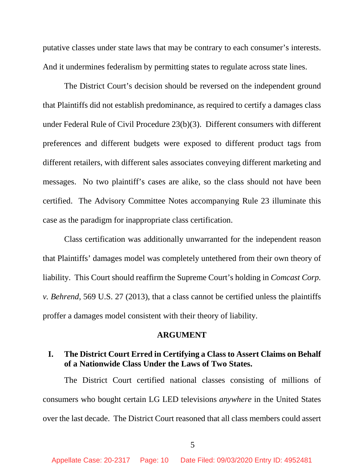putative classes under state laws that may be contrary to each consumer's interests. And it undermines federalism by permitting states to regulate across state lines.

The District Court's decision should be reversed on the independent ground that Plaintiffs did not establish predominance, as required to certify a damages class under Federal Rule of Civil Procedure 23(b)(3). Different consumers with different preferences and different budgets were exposed to different product tags from different retailers, with different sales associates conveying different marketing and messages. No two plaintiff's cases are alike, so the class should not have been certified. The Advisory Committee Notes accompanying Rule 23 illuminate this case as the paradigm for inappropriate class certification.

Class certification was additionally unwarranted for the independent reason that Plaintiffs' damages model was completely untethered from their own theory of liability. This Court should reaffirm the Supreme Court's holding in *Comcast Corp. v. Behrend*, 569 U.S. 27 (2013), that a class cannot be certified unless the plaintiffs proffer a damages model consistent with their theory of liability.

#### **ARGUMENT**

### **I. The District Court Erred in Certifying a Class to Assert Claims on Behalf of a Nationwide Class Under the Laws of Two States.**

The District Court certified national classes consisting of millions of consumers who bought certain LG LED televisions *anywhere* in the United States over the last decade. The District Court reasoned that all class members could assert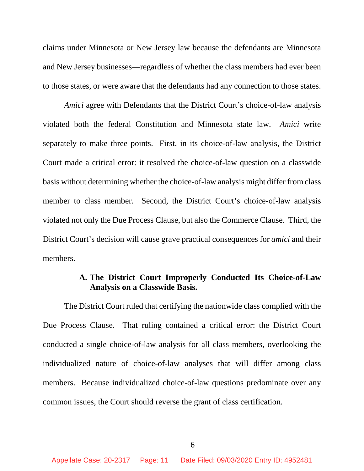claims under Minnesota or New Jersey law because the defendants are Minnesota and New Jersey businesses—regardless of whether the class members had ever been to those states, or were aware that the defendants had any connection to those states.

*Amici* agree with Defendants that the District Court's choice-of-law analysis violated both the federal Constitution and Minnesota state law. *Amici* write separately to make three points. First, in its choice-of-law analysis, the District Court made a critical error: it resolved the choice-of-law question on a classwide basis without determining whether the choice-of-law analysis might differ from class member to class member. Second, the District Court's choice-of-law analysis violated not only the Due Process Clause, but also the Commerce Clause. Third, the District Court's decision will cause grave practical consequences for *amici* and their members.

# **A. The District Court Improperly Conducted Its Choice-of-Law Analysis on a Classwide Basis.**

The District Court ruled that certifying the nationwide class complied with the Due Process Clause. That ruling contained a critical error: the District Court conducted a single choice-of-law analysis for all class members, overlooking the individualized nature of choice-of-law analyses that will differ among class members. Because individualized choice-of-law questions predominate over any common issues, the Court should reverse the grant of class certification.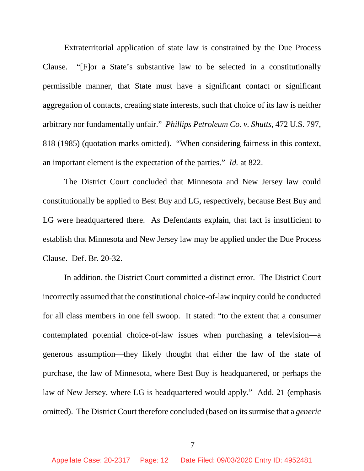Extraterritorial application of state law is constrained by the Due Process Clause. "[F]or a State's substantive law to be selected in a constitutionally permissible manner, that State must have a significant contact or significant aggregation of contacts, creating state interests, such that choice of its law is neither arbitrary nor fundamentally unfair." *Phillips Petroleum Co. v. Shutts*, 472 U.S. 797, 818 (1985) (quotation marks omitted). "When considering fairness in this context, an important element is the expectation of the parties." *Id.* at 822.

The District Court concluded that Minnesota and New Jersey law could constitutionally be applied to Best Buy and LG, respectively, because Best Buy and LG were headquartered there. As Defendants explain, that fact is insufficient to establish that Minnesota and New Jersey law may be applied under the Due Process Clause. Def. Br. 20-32.

In addition, the District Court committed a distinct error. The District Court incorrectly assumed that the constitutional choice-of-law inquiry could be conducted for all class members in one fell swoop. It stated: "to the extent that a consumer contemplated potential choice-of-law issues when purchasing a television—a generous assumption—they likely thought that either the law of the state of purchase, the law of Minnesota, where Best Buy is headquartered, or perhaps the law of New Jersey, where LG is headquartered would apply." Add. 21 (emphasis omitted). The District Court therefore concluded (based on its surmise that a *generic*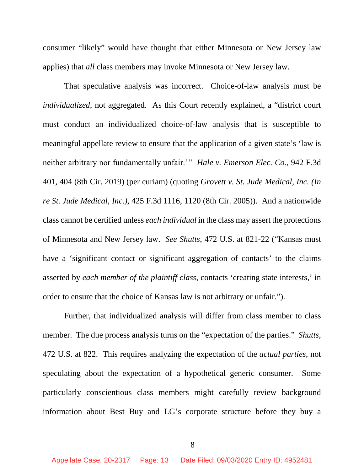consumer "likely" would have thought that either Minnesota or New Jersey law applies) that *all* class members may invoke Minnesota or New Jersey law.

That speculative analysis was incorrect. Choice-of-law analysis must be *individualized*, not aggregated. As this Court recently explained, a "district court must conduct an individualized choice-of-law analysis that is susceptible to meaningful appellate review to ensure that the application of a given state's 'law is neither arbitrary nor fundamentally unfair.'" *Hale v. Emerson Elec. Co.*, 942 F.3d 401, 404 (8th Cir. 2019) (per curiam) (quoting *Grovett v. St. Jude Medical, Inc. (In re St. Jude Medical, Inc.),* 425 F.3d 1116, 1120 (8th Cir. 2005)). And a nationwide class cannot be certified unless *each individual* in the class may assert the protections of Minnesota and New Jersey law. *See Shutts*, 472 U.S. at 821-22 ("Kansas must have a 'significant contact or significant aggregation of contacts' to the claims asserted by *each member of the plaintiff class*, contacts 'creating state interests,' in order to ensure that the choice of Kansas law is not arbitrary or unfair.").

Further, that individualized analysis will differ from class member to class member. The due process analysis turns on the "expectation of the parties." *Shutts*, 472 U.S. at 822. This requires analyzing the expectation of the *actual parties*, not speculating about the expectation of a hypothetical generic consumer. Some particularly conscientious class members might carefully review background information about Best Buy and LG's corporate structure before they buy a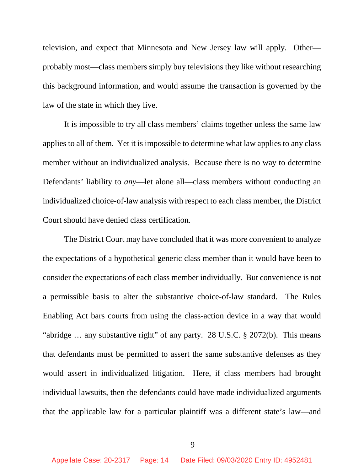television, and expect that Minnesota and New Jersey law will apply. Other probably most—class members simply buy televisions they like without researching this background information, and would assume the transaction is governed by the law of the state in which they live.

It is impossible to try all class members' claims together unless the same law applies to all of them. Yet it is impossible to determine what law applies to any class member without an individualized analysis. Because there is no way to determine Defendants' liability to *any*—let alone all—class members without conducting an individualized choice-of-law analysis with respect to each class member, the District Court should have denied class certification.

The District Court may have concluded that it was more convenient to analyze the expectations of a hypothetical generic class member than it would have been to consider the expectations of each class member individually. But convenience is not a permissible basis to alter the substantive choice-of-law standard. The Rules Enabling Act bars courts from using the class-action device in a way that would "abridge … any substantive right" of any party. 28 U.S.C. § 2072(b). This means that defendants must be permitted to assert the same substantive defenses as they would assert in individualized litigation. Here, if class members had brought individual lawsuits, then the defendants could have made individualized arguments that the applicable law for a particular plaintiff was a different state's law—and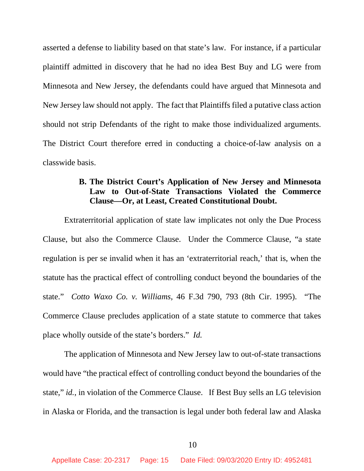asserted a defense to liability based on that state's law. For instance, if a particular plaintiff admitted in discovery that he had no idea Best Buy and LG were from Minnesota and New Jersey, the defendants could have argued that Minnesota and New Jersey law should not apply. The fact that Plaintiffs filed a putative class action should not strip Defendants of the right to make those individualized arguments. The District Court therefore erred in conducting a choice-of-law analysis on a classwide basis.

# **B. The District Court's Application of New Jersey and Minnesota Law to Out-of-State Transactions Violated the Commerce Clause—Or, at Least, Created Constitutional Doubt.**

Extraterritorial application of state law implicates not only the Due Process Clause, but also the Commerce Clause. Under the Commerce Clause, "a state regulation is per se invalid when it has an 'extraterritorial reach,' that is, when the statute has the practical effect of controlling conduct beyond the boundaries of the state." *Cotto Waxo Co. v. Williams*, 46 F.3d 790, 793 (8th Cir. 1995). "The Commerce Clause precludes application of a state statute to commerce that takes place wholly outside of the state's borders." *Id.*

The application of Minnesota and New Jersey law to out-of-state transactions would have "the practical effect of controlling conduct beyond the boundaries of the state," *id.*, in violation of the Commerce Clause. If Best Buy sells an LG television in Alaska or Florida, and the transaction is legal under both federal law and Alaska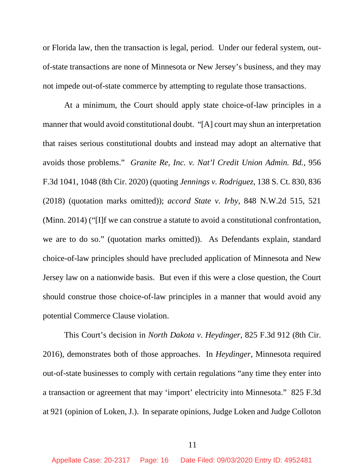or Florida law, then the transaction is legal, period. Under our federal system, outof-state transactions are none of Minnesota or New Jersey's business, and they may not impede out-of-state commerce by attempting to regulate those transactions.

At a minimum, the Court should apply state choice-of-law principles in a manner that would avoid constitutional doubt. "[A] court may shun an interpretation that raises serious constitutional doubts and instead may adopt an alternative that avoids those problems." *Granite Re, Inc. v. Nat'l Credit Union Admin. Bd.*, 956 F.3d 1041, 1048 (8th Cir. 2020) (quoting *Jennings v. Rodriguez*, 138 S. Ct. 830, 836 (2018) (quotation marks omitted)); *accord State v. Irby*, 848 N.W.2d 515, 521 (Minn. 2014) ("[I]f we can construe a statute to avoid a constitutional confrontation, we are to do so." (quotation marks omitted)). As Defendants explain, standard choice-of-law principles should have precluded application of Minnesota and New Jersey law on a nationwide basis. But even if this were a close question, the Court should construe those choice-of-law principles in a manner that would avoid any potential Commerce Clause violation.

This Court's decision in *North Dakota v. Heydinger*, 825 F.3d 912 (8th Cir. 2016), demonstrates both of those approaches. In *Heydinger*, Minnesota required out-of-state businesses to comply with certain regulations "any time they enter into a transaction or agreement that may 'import' electricity into Minnesota." 825 F.3d at 921 (opinion of Loken, J.). In separate opinions, Judge Loken and Judge Colloton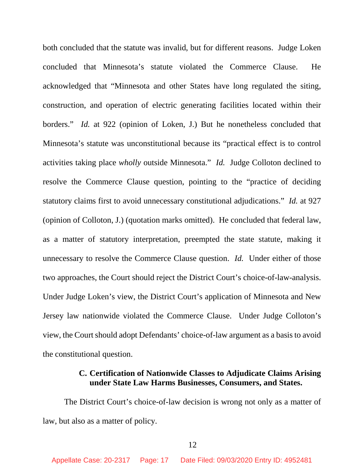both concluded that the statute was invalid, but for different reasons. Judge Loken concluded that Minnesota's statute violated the Commerce Clause. He acknowledged that "Minnesota and other States have long regulated the siting, construction, and operation of electric generating facilities located within their borders." *Id.* at 922 (opinion of Loken, J.) But he nonetheless concluded that Minnesota's statute was unconstitutional because its "practical effect is to control activities taking place *wholly* outside Minnesota." *Id.* Judge Colloton declined to resolve the Commerce Clause question, pointing to the "practice of deciding statutory claims first to avoid unnecessary constitutional adjudications." *Id.* at 927 (opinion of Colloton, J.) (quotation marks omitted). He concluded that federal law, as a matter of statutory interpretation, preempted the state statute, making it unnecessary to resolve the Commerce Clause question. *Id.* Under either of those two approaches, the Court should reject the District Court's choice-of-law-analysis. Under Judge Loken's view, the District Court's application of Minnesota and New Jersey law nationwide violated the Commerce Clause. Under Judge Colloton's view, the Court should adopt Defendants' choice-of-law argument as a basis to avoid the constitutional question.

### **C. Certification of Nationwide Classes to Adjudicate Claims Arising under State Law Harms Businesses, Consumers, and States.**

The District Court's choice-of-law decision is wrong not only as a matter of law, but also as a matter of policy.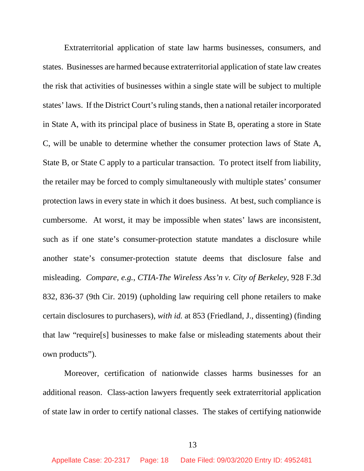Extraterritorial application of state law harms businesses, consumers, and states. Businesses are harmed because extraterritorial application of state law creates the risk that activities of businesses within a single state will be subject to multiple states' laws. If the District Court's ruling stands, then a national retailer incorporated in State A, with its principal place of business in State B, operating a store in State C, will be unable to determine whether the consumer protection laws of State A, State B, or State C apply to a particular transaction. To protect itself from liability, the retailer may be forced to comply simultaneously with multiple states' consumer protection laws in every state in which it does business. At best, such compliance is cumbersome. At worst, it may be impossible when states' laws are inconsistent, such as if one state's consumer-protection statute mandates a disclosure while another state's consumer-protection statute deems that disclosure false and misleading. *Compare, e.g.*, *CTIA-The Wireless Ass'n v. City of Berkeley*, 928 F.3d 832, 836-37 (9th Cir. 2019) (upholding law requiring cell phone retailers to make certain disclosures to purchasers), *with id.* at 853 (Friedland, J., dissenting) (finding that law "require[s] businesses to make false or misleading statements about their own products").

Moreover, certification of nationwide classes harms businesses for an additional reason. Class-action lawyers frequently seek extraterritorial application of state law in order to certify national classes. The stakes of certifying nationwide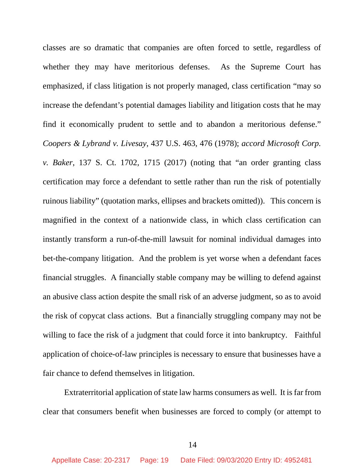classes are so dramatic that companies are often forced to settle, regardless of whether they may have meritorious defenses. As the Supreme Court has emphasized, if class litigation is not properly managed, class certification "may so increase the defendant's potential damages liability and litigation costs that he may find it economically prudent to settle and to abandon a meritorious defense." *Coopers & Lybrand v. Livesay*, 437 U.S. 463, 476 (1978); *accord Microsoft Corp. v. Baker*, 137 S. Ct. 1702, 1715 (2017) (noting that "an order granting class certification may force a defendant to settle rather than run the risk of potentially ruinous liability" (quotation marks, ellipses and brackets omitted)). This concern is magnified in the context of a nationwide class, in which class certification can instantly transform a run-of-the-mill lawsuit for nominal individual damages into bet-the-company litigation. And the problem is yet worse when a defendant faces financial struggles. A financially stable company may be willing to defend against an abusive class action despite the small risk of an adverse judgment, so as to avoid the risk of copycat class actions. But a financially struggling company may not be willing to face the risk of a judgment that could force it into bankruptcy. Faithful application of choice-of-law principles is necessary to ensure that businesses have a fair chance to defend themselves in litigation.

Extraterritorial application of state law harms consumers as well. It is far from clear that consumers benefit when businesses are forced to comply (or attempt to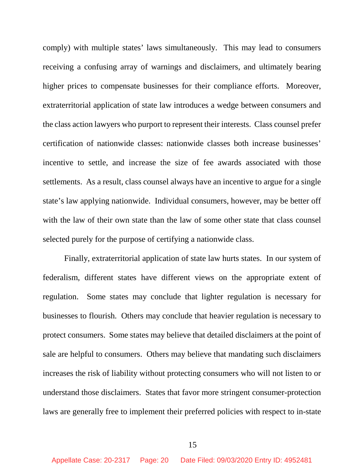comply) with multiple states' laws simultaneously. This may lead to consumers receiving a confusing array of warnings and disclaimers, and ultimately bearing higher prices to compensate businesses for their compliance efforts. Moreover, extraterritorial application of state law introduces a wedge between consumers and the class action lawyers who purport to represent their interests. Class counsel prefer certification of nationwide classes: nationwide classes both increase businesses' incentive to settle, and increase the size of fee awards associated with those settlements. As a result, class counsel always have an incentive to argue for a single state's law applying nationwide. Individual consumers, however, may be better off with the law of their own state than the law of some other state that class counsel selected purely for the purpose of certifying a nationwide class.

Finally, extraterritorial application of state law hurts states. In our system of federalism, different states have different views on the appropriate extent of regulation. Some states may conclude that lighter regulation is necessary for businesses to flourish. Others may conclude that heavier regulation is necessary to protect consumers. Some states may believe that detailed disclaimers at the point of sale are helpful to consumers. Others may believe that mandating such disclaimers increases the risk of liability without protecting consumers who will not listen to or understand those disclaimers. States that favor more stringent consumer-protection laws are generally free to implement their preferred policies with respect to in-state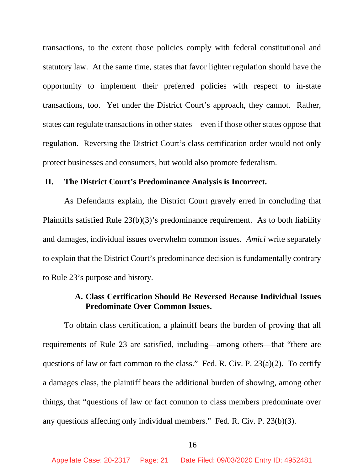transactions, to the extent those policies comply with federal constitutional and statutory law. At the same time, states that favor lighter regulation should have the opportunity to implement their preferred policies with respect to in-state transactions, too. Yet under the District Court's approach, they cannot. Rather, states can regulate transactions in other states—even if those other states oppose that regulation. Reversing the District Court's class certification order would not only protect businesses and consumers, but would also promote federalism.

### **II. The District Court's Predominance Analysis is Incorrect.**

As Defendants explain, the District Court gravely erred in concluding that Plaintiffs satisfied Rule 23(b)(3)'s predominance requirement. As to both liability and damages, individual issues overwhelm common issues. *Amici* write separately to explain that the District Court's predominance decision is fundamentally contrary to Rule 23's purpose and history.

# **A. Class Certification Should Be Reversed Because Individual Issues Predominate Over Common Issues.**

To obtain class certification, a plaintiff bears the burden of proving that all requirements of Rule 23 are satisfied, including—among others—that "there are questions of law or fact common to the class." Fed. R. Civ. P. 23(a)(2). To certify a damages class, the plaintiff bears the additional burden of showing, among other things, that "questions of law or fact common to class members predominate over any questions affecting only individual members." Fed. R. Civ. P. 23(b)(3).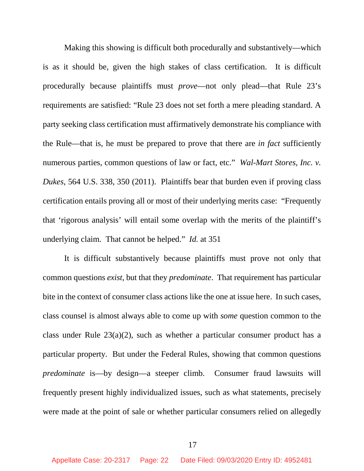Making this showing is difficult both procedurally and substantively—which is as it should be, given the high stakes of class certification. It is difficult procedurally because plaintiffs must *prove*—not only plead—that Rule 23's requirements are satisfied: "Rule 23 does not set forth a mere pleading standard. A party seeking class certification must affirmatively demonstrate his compliance with the Rule—that is, he must be prepared to prove that there are *in fact* sufficiently numerous parties, common questions of law or fact, etc." *Wal-Mart Stores, Inc. v. Dukes*, 564 U.S. 338, 350 (2011). Plaintiffs bear that burden even if proving class certification entails proving all or most of their underlying merits case: "Frequently that 'rigorous analysis' will entail some overlap with the merits of the plaintiff's underlying claim. That cannot be helped." *Id.* at 351

It is difficult substantively because plaintiffs must prove not only that common questions *exist*, but that they *predominate*. That requirement has particular bite in the context of consumer class actions like the one at issue here. In such cases, class counsel is almost always able to come up with *some* question common to the class under Rule  $23(a)(2)$ , such as whether a particular consumer product has a particular property. But under the Federal Rules, showing that common questions *predominate* is—by design—a steeper climb. Consumer fraud lawsuits will frequently present highly individualized issues, such as what statements, precisely were made at the point of sale or whether particular consumers relied on allegedly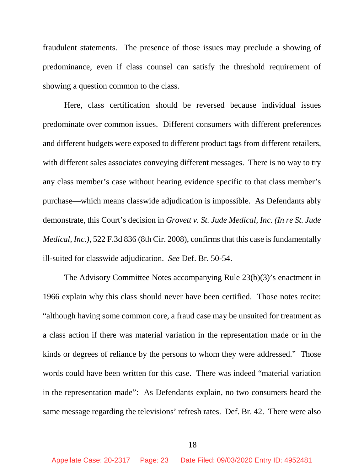fraudulent statements. The presence of those issues may preclude a showing of predominance, even if class counsel can satisfy the threshold requirement of showing a question common to the class.

Here, class certification should be reversed because individual issues predominate over common issues. Different consumers with different preferences and different budgets were exposed to different product tags from different retailers, with different sales associates conveying different messages. There is no way to try any class member's case without hearing evidence specific to that class member's purchase—which means classwide adjudication is impossible. As Defendants ably demonstrate, this Court's decision in *Grovett v. St. Jude Medical, Inc. (In re St. Jude Medical, Inc.)*, 522 F.3d 836 (8th Cir. 2008), confirms that this case is fundamentally ill-suited for classwide adjudication. *See* Def. Br. 50-54.

The Advisory Committee Notes accompanying Rule 23(b)(3)'s enactment in 1966 explain why this class should never have been certified. Those notes recite: "although having some common core, a fraud case may be unsuited for treatment as a class action if there was material variation in the representation made or in the kinds or degrees of reliance by the persons to whom they were addressed." Those words could have been written for this case. There was indeed "material variation in the representation made": As Defendants explain, no two consumers heard the same message regarding the televisions' refresh rates. Def. Br. 42. There were also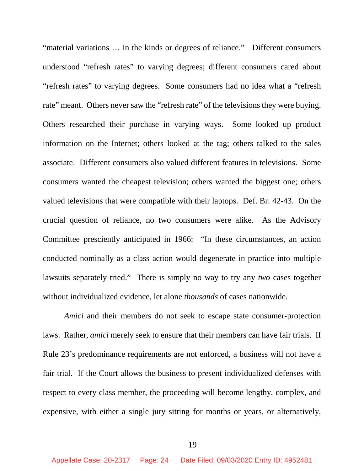"material variations … in the kinds or degrees of reliance." Different consumers understood "refresh rates" to varying degrees; different consumers cared about "refresh rates" to varying degrees. Some consumers had no idea what a "refresh rate" meant. Others never saw the "refresh rate" of the televisions they were buying. Others researched their purchase in varying ways. Some looked up product information on the Internet; others looked at the tag; others talked to the sales associate. Different consumers also valued different features in televisions. Some consumers wanted the cheapest television; others wanted the biggest one; others valued televisions that were compatible with their laptops. Def. Br. 42-43. On the crucial question of reliance, no two consumers were alike. As the Advisory Committee presciently anticipated in 1966: "In these circumstances, an action conducted nominally as a class action would degenerate in practice into multiple lawsuits separately tried." There is simply no way to try any *two* cases together without individualized evidence, let alone *thousands* of cases nationwide.

*Amici* and their members do not seek to escape state consumer-protection laws. Rather, *amici* merely seek to ensure that their members can have fair trials. If Rule 23's predominance requirements are not enforced, a business will not have a fair trial. If the Court allows the business to present individualized defenses with respect to every class member, the proceeding will become lengthy, complex, and expensive, with either a single jury sitting for months or years, or alternatively,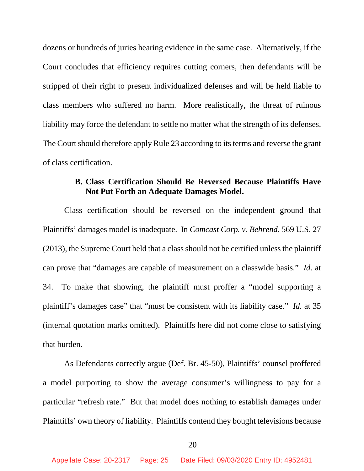dozens or hundreds of juries hearing evidence in the same case. Alternatively, if the Court concludes that efficiency requires cutting corners, then defendants will be stripped of their right to present individualized defenses and will be held liable to class members who suffered no harm. More realistically, the threat of ruinous liability may force the defendant to settle no matter what the strength of its defenses. The Court should therefore apply Rule 23 according to its terms and reverse the grant of class certification.

## **B. Class Certification Should Be Reversed Because Plaintiffs Have Not Put Forth an Adequate Damages Model.**

Class certification should be reversed on the independent ground that Plaintiffs' damages model is inadequate. In *Comcast Corp. v. Behrend*, 569 U.S. 27 (2013), the Supreme Court held that a class should not be certified unless the plaintiff can prove that "damages are capable of measurement on a classwide basis." *Id.* at 34. To make that showing, the plaintiff must proffer a "model supporting a plaintiff's damages case" that "must be consistent with its liability case." *Id.* at 35 (internal quotation marks omitted). Plaintiffs here did not come close to satisfying that burden.

As Defendants correctly argue (Def. Br. 45-50), Plaintiffs' counsel proffered a model purporting to show the average consumer's willingness to pay for a particular "refresh rate." But that model does nothing to establish damages under Plaintiffs' own theory of liability. Plaintiffs contend they bought televisions because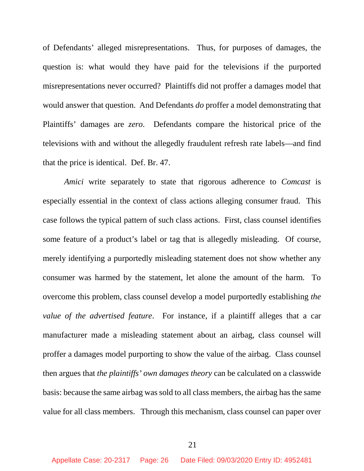of Defendants' alleged misrepresentations. Thus, for purposes of damages, the question is: what would they have paid for the televisions if the purported misrepresentations never occurred? Plaintiffs did not proffer a damages model that would answer that question. And Defendants *do* proffer a model demonstrating that Plaintiffs' damages are *zero*. Defendants compare the historical price of the televisions with and without the allegedly fraudulent refresh rate labels—and find that the price is identical. Def. Br. 47.

*Amici* write separately to state that rigorous adherence to *Comcast* is especially essential in the context of class actions alleging consumer fraud. This case follows the typical pattern of such class actions. First, class counsel identifies some feature of a product's label or tag that is allegedly misleading. Of course, merely identifying a purportedly misleading statement does not show whether any consumer was harmed by the statement, let alone the amount of the harm. To overcome this problem, class counsel develop a model purportedly establishing *the value of the advertised feature*. For instance, if a plaintiff alleges that a car manufacturer made a misleading statement about an airbag, class counsel will proffer a damages model purporting to show the value of the airbag. Class counsel then argues that *the plaintiffs' own damages theory* can be calculated on a classwide basis: because the same airbag was sold to all class members, the airbag has the same value for all class members. Through this mechanism, class counsel can paper over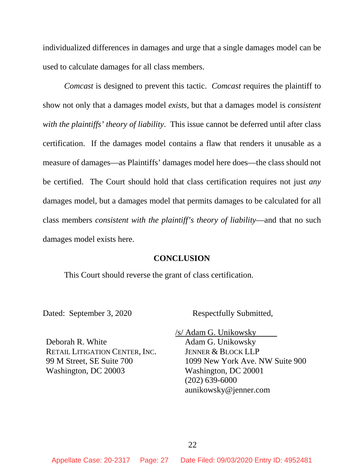individualized differences in damages and urge that a single damages model can be used to calculate damages for all class members.

*Comcast* is designed to prevent this tactic. *Comcast* requires the plaintiff to show not only that a damages model *exists*, but that a damages model is *consistent with the plaintiffs' theory of liability*. This issue cannot be deferred until after class certification. If the damages model contains a flaw that renders it unusable as a measure of damages—as Plaintiffs' damages model here does—the class should not be certified. The Court should hold that class certification requires not just *any* damages model, but a damages model that permits damages to be calculated for all class members *consistent with the plaintiff's theory of liability*—and that no such damages model exists here.

#### **CONCLUSION**

This Court should reverse the grant of class certification.

Dated: September 3, 2020 Respectfully Submitted,

Deborah R. White RETAIL LITIGATION CENTER, INC. 99 M Street, SE Suite 700 Washington, DC 20003

 /s/ Adam G. Unikowsky Adam G. Unikowsky JENNER & BLOCK LLP 1099 New York Ave. NW Suite 900 Washington, DC 20001 (202) 639-6000 aunikowsky@jenner.com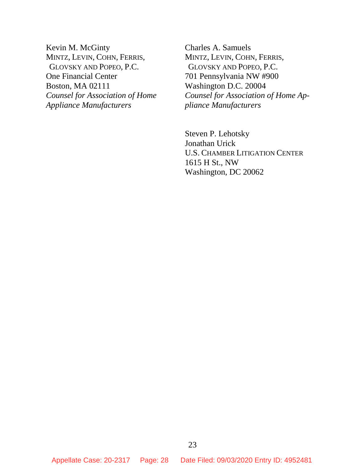Kevin M. McGinty MINTZ, LEVIN, COHN, FERRIS, GLOVSKY AND POPEO, P.C. One Financial Center Boston, MA 02111 *Counsel for Association of Home Appliance Manufacturers*

Charles A. Samuels MINTZ, LEVIN, COHN, FERRIS, GLOVSKY AND POPEO, P.C. 701 Pennsylvania NW #900 Washington D.C. 20004 *Counsel for Association of Home Appliance Manufacturers* 

Steven P. Lehotsky Jonathan Urick U.S. CHAMBER LITIGATION CENTER 1615 H St., NW Washington, DC 20062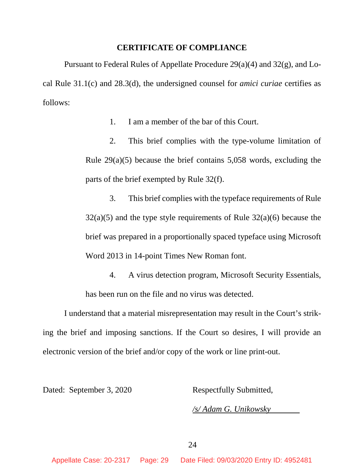#### **CERTIFICATE OF COMPLIANCE**

Pursuant to Federal Rules of Appellate Procedure 29(a)(4) and 32(g), and Local Rule 31.1(c) and 28.3(d), the undersigned counsel for *amici curiae* certifies as follows:

1. I am a member of the bar of this Court.

2. This brief complies with the type-volume limitation of Rule 29(a)(5) because the brief contains 5,058 words, excluding the parts of the brief exempted by Rule 32(f).

3. This brief complies with the typeface requirements of Rule  $32(a)(5)$  and the type style requirements of Rule  $32(a)(6)$  because the brief was prepared in a proportionally spaced typeface using Microsoft Word 2013 in 14-point Times New Roman font.

4. A virus detection program, Microsoft Security Essentials, has been run on the file and no virus was detected.

I understand that a material misrepresentation may result in the Court's striking the brief and imposing sanctions. If the Court so desires, I will provide an electronic version of the brief and/or copy of the work or line print-out.

Dated: September 3, 2020 Respectfully Submitted,

*/s/ Adam G. Unikowsky*